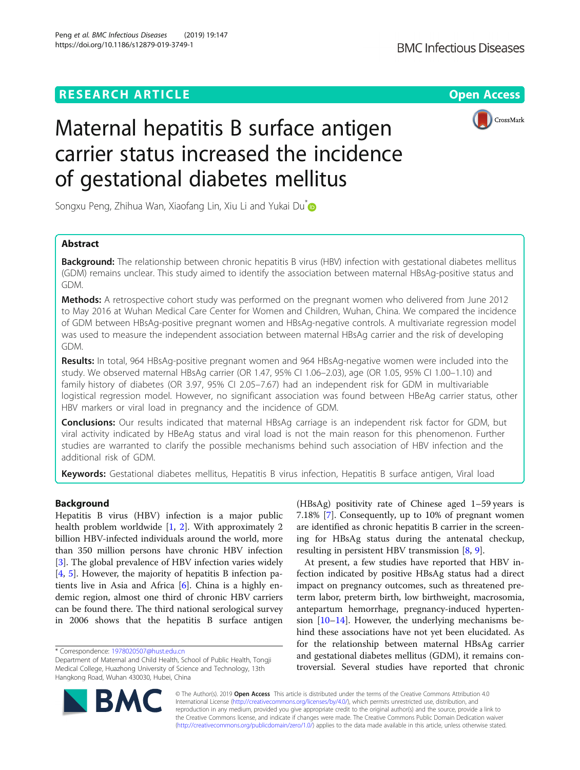

# Maternal hepatitis B surface antigen carrier status increased the incidence of gestational diabetes mellitus

Songxu Peng, Zhihua Wan, Xiaofang Lin, Xiu Li and Yukai Du<sup>[\\*](http://orcid.org/0000-0003-3493-5165)</sup>

# Abstract

Background: The relationship between chronic hepatitis B virus (HBV) infection with gestational diabetes mellitus (GDM) remains unclear. This study aimed to identify the association between maternal HBsAg-positive status and GDM.

**Methods:** A retrospective cohort study was performed on the pregnant women who delivered from June 2012 to May 2016 at Wuhan Medical Care Center for Women and Children, Wuhan, China. We compared the incidence of GDM between HBsAg-positive pregnant women and HBsAg-negative controls. A multivariate regression model was used to measure the independent association between maternal HBsAg carrier and the risk of developing GDM.

Results: In total, 964 HBsAg-positive pregnant women and 964 HBsAg-negative women were included into the study. We observed maternal HBsAg carrier (OR 1.47, 95% CI 1.06–2.03), age (OR 1.05, 95% CI 1.00–1.10) and family history of diabetes (OR 3.97, 95% CI 2.05–7.67) had an independent risk for GDM in multivariable logistical regression model. However, no significant association was found between HBeAg carrier status, other HBV markers or viral load in pregnancy and the incidence of GDM.

Conclusions: Our results indicated that maternal HBsAg carriage is an independent risk factor for GDM, but viral activity indicated by HBeAg status and viral load is not the main reason for this phenomenon. Further studies are warranted to clarify the possible mechanisms behind such association of HBV infection and the additional risk of GDM.

**Keywords:** Gestational diabetes mellitus, Hepatitis B virus infection, Hepatitis B surface antigen, Viral load

# Background

Hepatitis B virus (HBV) infection is a major public health problem worldwide [[1](#page-5-0), [2](#page-5-0)]. With approximately 2 billion HBV-infected individuals around the world, more than 350 million persons have chronic HBV infection [[3\]](#page-5-0). The global prevalence of HBV infection varies widely [[4,](#page-5-0) [5](#page-5-0)]. However, the majority of hepatitis B infection patients live in Asia and Africa [[6\]](#page-5-0). China is a highly endemic region, almost one third of chronic HBV carriers can be found there. The third national serological survey in 2006 shows that the hepatitis B surface antigen

\* Correspondence: [1978020507@hust.edu.cn](mailto:1978020507@hust.edu.cn)

(HBsAg) positivity rate of Chinese aged 1–59 years is 7.18% [\[7](#page-5-0)]. Consequently, up to 10% of pregnant women are identified as chronic hepatitis B carrier in the screening for HBsAg status during the antenatal checkup, resulting in persistent HBV transmission [[8,](#page-5-0) [9\]](#page-5-0).

At present, a few studies have reported that HBV infection indicated by positive HBsAg status had a direct impact on pregnancy outcomes, such as threatened preterm labor, preterm birth, low birthweight, macrosomia, antepartum hemorrhage, pregnancy-induced hypertension  $[10-14]$  $[10-14]$  $[10-14]$  $[10-14]$  $[10-14]$ . However, the underlying mechanisms behind these associations have not yet been elucidated. As for the relationship between maternal HBsAg carrier and gestational diabetes mellitus (GDM), it remains controversial. Several studies have reported that chronic



© The Author(s). 2019 Open Access This article is distributed under the terms of the Creative Commons Attribution 4.0 International License [\(http://creativecommons.org/licenses/by/4.0/](http://creativecommons.org/licenses/by/4.0/)), which permits unrestricted use, distribution, and reproduction in any medium, provided you give appropriate credit to the original author(s) and the source, provide a link to the Creative Commons license, and indicate if changes were made. The Creative Commons Public Domain Dedication waiver [\(http://creativecommons.org/publicdomain/zero/1.0/](http://creativecommons.org/publicdomain/zero/1.0/)) applies to the data made available in this article, unless otherwise stated.

Department of Maternal and Child Health, School of Public Health, Tongji Medical College, Huazhong University of Science and Technology, 13th Hangkong Road, Wuhan 430030, Hubei, China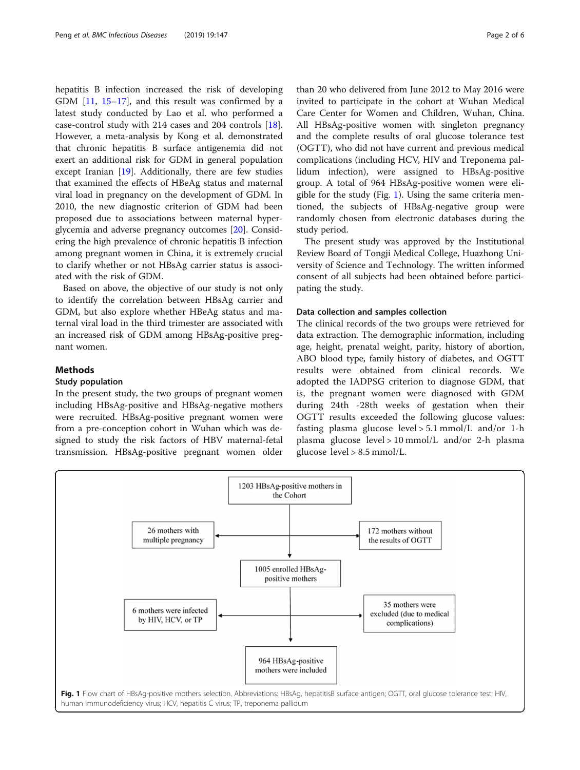hepatitis B infection increased the risk of developing GDM [[11,](#page-5-0) [15](#page-5-0)–[17\]](#page-5-0), and this result was confirmed by a latest study conducted by Lao et al. who performed a case-control study with 214 cases and 204 controls [\[18](#page-5-0)]. However, a meta-analysis by Kong et al. demonstrated that chronic hepatitis B surface antigenemia did not exert an additional risk for GDM in general population except Iranian [\[19](#page-5-0)]. Additionally, there are few studies that examined the effects of HBeAg status and maternal viral load in pregnancy on the development of GDM. In 2010, the new diagnostic criterion of GDM had been proposed due to associations between maternal hyperglycemia and adverse pregnancy outcomes [[20](#page-5-0)]. Considering the high prevalence of chronic hepatitis B infection among pregnant women in China, it is extremely crucial to clarify whether or not HBsAg carrier status is associated with the risk of GDM.

Based on above, the objective of our study is not only to identify the correlation between HBsAg carrier and GDM, but also explore whether HBeAg status and maternal viral load in the third trimester are associated with an increased risk of GDM among HBsAg-positive pregnant women.

# Methods

#### Study population

In the present study, the two groups of pregnant women including HBsAg-positive and HBsAg-negative mothers were recruited. HBsAg-positive pregnant women were from a pre-conception cohort in Wuhan which was designed to study the risk factors of HBV maternal-fetal transmission. HBsAg-positive pregnant women older than 20 who delivered from June 2012 to May 2016 were invited to participate in the cohort at Wuhan Medical Care Center for Women and Children, Wuhan, China. All HBsAg-positive women with singleton pregnancy and the complete results of oral glucose tolerance test (OGTT), who did not have current and previous medical complications (including HCV, HIV and Treponema pallidum infection), were assigned to HBsAg-positive group. A total of 964 HBsAg-positive women were eligible for the study (Fig. 1). Using the same criteria mentioned, the subjects of HBsAg-negative group were randomly chosen from electronic databases during the study period.

The present study was approved by the Institutional Review Board of Tongji Medical College, Huazhong University of Science and Technology. The written informed consent of all subjects had been obtained before participating the study.

## Data collection and samples collection

The clinical records of the two groups were retrieved for data extraction. The demographic information, including age, height, prenatal weight, parity, history of abortion, ABO blood type, family history of diabetes, and OGTT results were obtained from clinical records. We adopted the IADPSG criterion to diagnose GDM, that is, the pregnant women were diagnosed with GDM during 24th -28th weeks of gestation when their OGTT results exceeded the following glucose values: fasting plasma glucose level > 5.1 mmol/L and/or 1-h plasma glucose level > 10 mmol/L and/or 2-h plasma glucose level > 8.5 mmol/L.

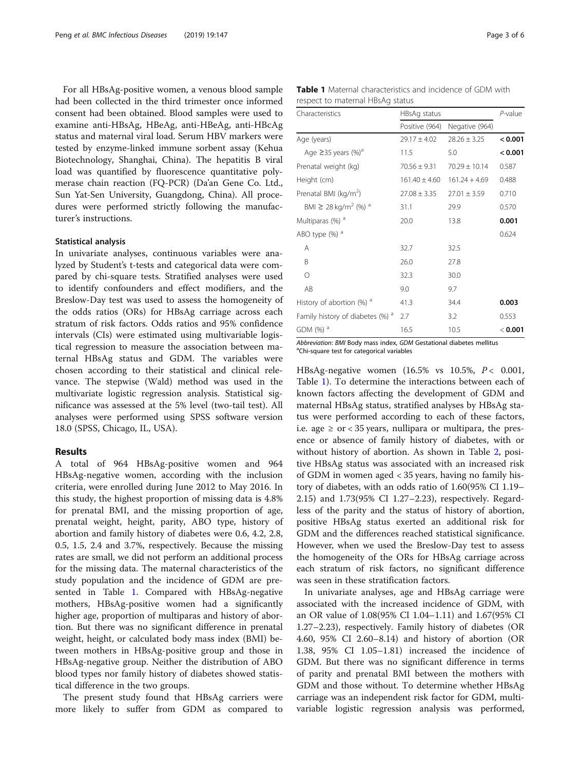For all HBsAg-positive women, a venous blood sample had been collected in the third trimester once informed consent had been obtained. Blood samples were used to examine anti-HBsAg, HBeAg, anti-HBeAg, anti-HBcAg status and maternal viral load. Serum HBV markers were tested by enzyme-linked immune sorbent assay (Kehua Biotechnology, Shanghai, China). The hepatitis B viral load was quantified by fluorescence quantitative polymerase chain reaction (FQ-PCR) (Da'an Gene Co. Ltd., Sun Yat-Sen University, Guangdong, China). All procedures were performed strictly following the manufacturer's instructions.

## Statistical analysis

In univariate analyses, continuous variables were analyzed by Student's t-tests and categorical data were compared by chi-square tests. Stratified analyses were used to identify confounders and effect modifiers, and the Breslow-Day test was used to assess the homogeneity of the odds ratios (ORs) for HBsAg carriage across each stratum of risk factors. Odds ratios and 95% confidence intervals (CIs) were estimated using multivariable logistical regression to measure the association between maternal HBsAg status and GDM. The variables were chosen according to their statistical and clinical relevance. The stepwise (Wald) method was used in the multivariate logistic regression analysis. Statistical significance was assessed at the 5% level (two-tail test). All analyses were performed using SPSS software version 18.0 (SPSS, Chicago, IL, USA).

# Results

A total of 964 HBsAg-positive women and 964 HBsAg-negative women, according with the inclusion criteria, were enrolled during June 2012 to May 2016. In this study, the highest proportion of missing data is 4.8% for prenatal BMI, and the missing proportion of age, prenatal weight, height, parity, ABO type, history of abortion and family history of diabetes were 0.6, 4.2, 2.8, 0.5, 1.5, 2.4 and 3.7%, respectively. Because the missing rates are small, we did not perform an additional process for the missing data. The maternal characteristics of the study population and the incidence of GDM are presented in Table 1. Compared with HBsAg-negative mothers, HBsAg-positive women had a significantly higher age, proportion of multiparas and history of abortion. But there was no significant difference in prenatal weight, height, or calculated body mass index (BMI) between mothers in HBsAg-positive group and those in HBsAg-negative group. Neither the distribution of ABO blood types nor family history of diabetes showed statistical difference in the two groups.

The present study found that HBsAg carriers were more likely to suffer from GDM as compared to

| <b>Table 1</b> Maternal characteristics and incidence of GDM with |  |
|-------------------------------------------------------------------|--|
| respect to maternal HBsAg status                                  |  |

| Characteristics                             | HBsAg status      |                   | $P$ -value |
|---------------------------------------------|-------------------|-------------------|------------|
|                                             | Positive (964)    | Negative (964)    |            |
| Age (years)                                 | $29.17 \pm 4.02$  | $28.26 \pm 3.25$  | < 0.001    |
| Age $\geq$ 35 years (%) <sup>a</sup>        | 11.5              | 5.0               | < 0.001    |
| Prenatal weight (kg)                        | $70.56 \pm 9.31$  | $70.29 \pm 10.14$ | 0.587      |
| Height (cm)                                 | $161.40 \pm 4.60$ | $161.24 + 4.69$   | 0.488      |
| Prenatal BMI (kg/m <sup>2</sup> )           | $27.08 \pm 3.35$  | $27.01 \pm 3.59$  | 0.710      |
| BMI ≥ 28 kg/m <sup>2</sup> (%) <sup>a</sup> | 31.1              | 29.9              | 0.570      |
| Multiparas (%) <sup>a</sup>                 | 20.0              | 13.8              | 0.001      |
| ABO type $(\%)$ <sup>a</sup>                |                   |                   | 0.624      |
| A                                           | 32.7              | 32.5              |            |
| B                                           | 26.0              | 27.8              |            |
| $\bigcirc$                                  | 32.3              | 30.0              |            |
| AB                                          | 9.0               | 9.7               |            |
| History of abortion $(\%)$ <sup>a</sup>     | 41.3              | 34.4              | 0.003      |
| Family history of diabetes (%) <sup>a</sup> | 2.7               | 3.2               | 0.553      |
| GDM $(\%)$ <sup>a</sup>                     | 16.5              | 10.5              | $<$ 0.001  |

Abbreviation: BMI Body mass index, GDM Gestational diabetes mellitus <sup>a</sup>Chi-square test for categorical variables

HBsAg-negative women (16.5% vs 10.5%,  $P < 0.001$ , Table 1). To determine the interactions between each of known factors affecting the development of GDM and maternal HBsAg status, stratified analyses by HBsAg status were performed according to each of these factors, i.e. age  $\geq$  or < 35 years, nullipara or multipara, the presence or absence of family history of diabetes, with or without history of abortion. As shown in Table [2](#page-3-0), positive HBsAg status was associated with an increased risk of GDM in women aged < 35 years, having no family history of diabetes, with an odds ratio of 1.60(95% CI 1.19– 2.15) and 1.73(95% CI 1.27–2.23), respectively. Regardless of the parity and the status of history of abortion, positive HBsAg status exerted an additional risk for GDM and the differences reached statistical significance. However, when we used the Breslow-Day test to assess the homogeneity of the ORs for HBsAg carriage across each stratum of risk factors, no significant difference was seen in these stratification factors.

In univariate analyses, age and HBsAg carriage were associated with the increased incidence of GDM, with an OR value of 1.08(95% CI 1.04–1.11) and 1.67(95% CI 1.27–2.23), respectively. Family history of diabetes (OR 4.60, 95% CI 2.60–8.14) and history of abortion (OR 1.38, 95% CI 1.05–1.81) increased the incidence of GDM. But there was no significant difference in terms of parity and prenatal BMI between the mothers with GDM and those without. To determine whether HBsAg carriage was an independent risk factor for GDM, multivariable logistic regression analysis was performed,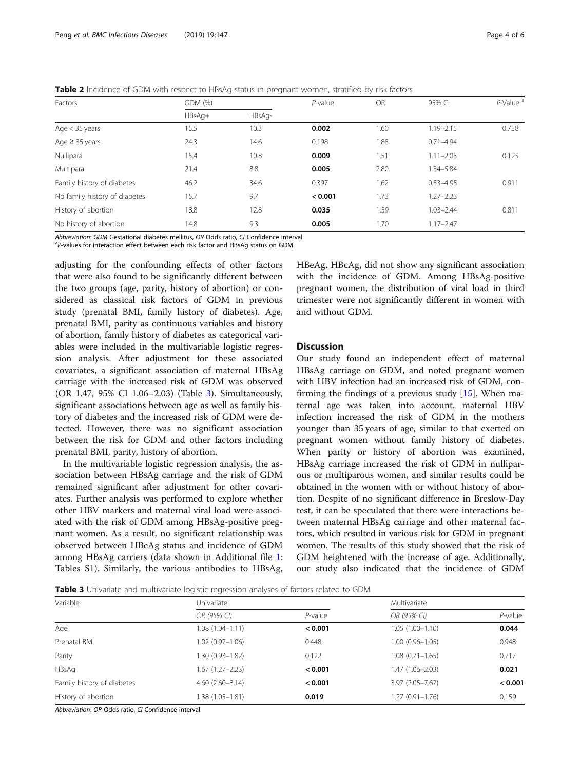<span id="page-3-0"></span>Table 2 Incidence of GDM with respect to HBsAg status in pregnant women, stratified by risk factors

| Factors                       | GDM (%)  |        | $P$ -value | <b>OR</b> | 95% CI        | $P$ -Value <sup>a</sup> |
|-------------------------------|----------|--------|------------|-----------|---------------|-------------------------|
|                               | $HBSAq+$ | HBsAg- |            |           |               |                         |
| Age $<$ 35 years              | 15.5     | 10.3   | 0.002      | 1.60      | $1.19 - 2.15$ | 0.758                   |
| Age $\geq$ 35 years           | 24.3     | 14.6   | 0.198      | 1.88      | $0.71 - 4.94$ |                         |
| Nullipara                     | 15.4     | 10.8   | 0.009      | 1.51      | $1.11 - 2.05$ | 0.125                   |
| Multipara                     | 21.4     | 8.8    | 0.005      | 2.80      | $1.34 - 5.84$ |                         |
| Family history of diabetes    | 46.2     | 34.6   | 0.397      | 1.62      | $0.53 - 4.95$ | 0.911                   |
| No family history of diabetes | 15.7     | 9.7    | < 0.001    | 1.73      | $1.27 - 2.23$ |                         |
| History of abortion           | 18.8     | 12.8   | 0.035      | 1.59      | $1.03 - 2.44$ | 0.811                   |
| No history of abortion        | 14.8     | 9.3    | 0.005      | 1.70      | $1.17 - 2.47$ |                         |

Abbreviation: GDM Gestational diabetes mellitus, OR Odds ratio, CI Confidence interval <sup>a</sup>

<sup>a</sup>P-values for interaction effect between each risk factor and HBsAg status on GDM

adjusting for the confounding effects of other factors that were also found to be significantly different between the two groups (age, parity, history of abortion) or considered as classical risk factors of GDM in previous study (prenatal BMI, family history of diabetes). Age, prenatal BMI, parity as continuous variables and history of abortion, family history of diabetes as categorical variables were included in the multivariable logistic regression analysis. After adjustment for these associated covariates, a significant association of maternal HBsAg carriage with the increased risk of GDM was observed (OR 1.47, 95% CI 1.06–2.03) (Table 3). Simultaneously, significant associations between age as well as family history of diabetes and the increased risk of GDM were detected. However, there was no significant association between the risk for GDM and other factors including prenatal BMI, parity, history of abortion.

In the multivariable logistic regression analysis, the association between HBsAg carriage and the risk of GDM remained significant after adjustment for other covariates. Further analysis was performed to explore whether other HBV markers and maternal viral load were associated with the risk of GDM among HBsAg-positive pregnant women. As a result, no significant relationship was observed between HBeAg status and incidence of GDM among HBsAg carriers (data shown in Additional file [1](#page-4-0): Tables S1). Similarly, the various antibodies to HBsAg, HBeAg, HBcAg, did not show any significant association with the incidence of GDM. Among HBsAg-positive pregnant women, the distribution of viral load in third trimester were not significantly different in women with and without GDM.

# **Discussion**

Our study found an independent effect of maternal HBsAg carriage on GDM, and noted pregnant women with HBV infection had an increased risk of GDM, confirming the findings of a previous study [[15](#page-5-0)]. When maternal age was taken into account, maternal HBV infection increased the risk of GDM in the mothers younger than 35 years of age, similar to that exerted on pregnant women without family history of diabetes. When parity or history of abortion was examined, HBsAg carriage increased the risk of GDM in nulliparous or multiparous women, and similar results could be obtained in the women with or without history of abortion. Despite of no significant difference in Breslow-Day test, it can be speculated that there were interactions between maternal HBsAg carriage and other maternal factors, which resulted in various risk for GDM in pregnant women. The results of this study showed that the risk of GDM heightened with the increase of age. Additionally, our study also indicated that the incidence of GDM

**Table 3** Univariate and multivariate logistic regression analyses of factors related to GDM

| Variable                   | Univariate          |            | Multivariate        |            |
|----------------------------|---------------------|------------|---------------------|------------|
|                            | OR (95% CI)         | $P$ -value | OR (95% CI)         | $P$ -value |
| Age                        | $1.08(1.04 - 1.11)$ | < 0.001    | $1.05(1.00 - 1.10)$ | 0.044      |
| Prenatal BMI               | $1.02(0.97 - 1.06)$ | 0.448      | $1.00(0.96 - 1.05)$ | 0.948      |
| Parity                     | 1.30 (0.93-1.82)    | 0.122      | $1.08(0.71 - 1.65)$ | 0.717      |
| HBsAg                      | 1.67 (1.27-2.23)    | < 0.001    | 1.47 (1.06–2.03)    | 0.021      |
| Family history of diabetes | $4.60(2.60 - 8.14)$ | 0.001      | $3.97(2.05 - 7.67)$ | < 0.001    |
| History of abortion        | 1.38 (1.05–1.81)    | 0.019      | $1.27(0.91 - 1.76)$ | 0.159      |

Abbreviation: OR Odds ratio, CI Confidence interval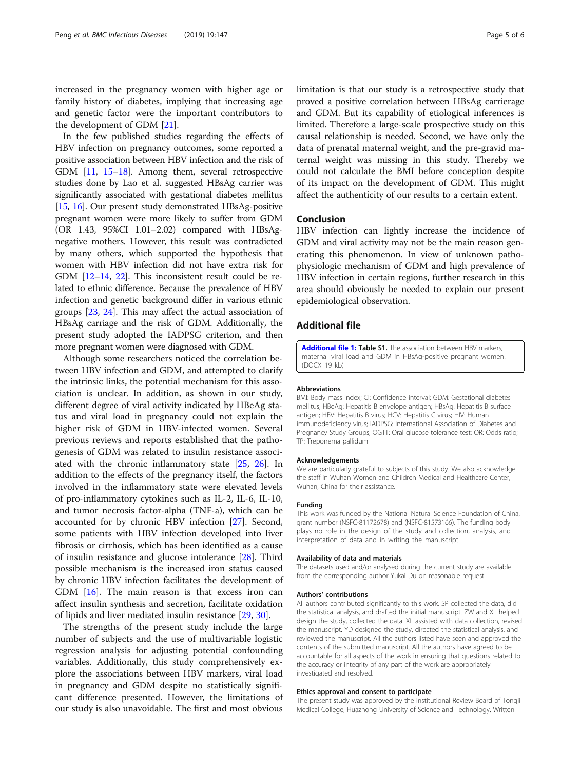<span id="page-4-0"></span>increased in the pregnancy women with higher age or family history of diabetes, implying that increasing age and genetic factor were the important contributors to the development of GDM [[21](#page-5-0)].

In the few published studies regarding the effects of HBV infection on pregnancy outcomes, some reported a positive association between HBV infection and the risk of GDM [[11](#page-5-0), [15](#page-5-0)–[18](#page-5-0)]. Among them, several retrospective studies done by Lao et al. suggested HBsAg carrier was significantly associated with gestational diabetes mellitus [[15](#page-5-0), [16](#page-5-0)]. Our present study demonstrated HBsAg-positive pregnant women were more likely to suffer from GDM (OR 1.43, 95%CI 1.01–2.02) compared with HBsAgnegative mothers. However, this result was contradicted by many others, which supported the hypothesis that women with HBV infection did not have extra risk for GDM [\[12](#page-5-0)–[14](#page-5-0), [22](#page-5-0)]. This inconsistent result could be related to ethnic difference. Because the prevalence of HBV infection and genetic background differ in various ethnic groups [[23](#page-5-0), [24\]](#page-5-0). This may affect the actual association of HBsAg carriage and the risk of GDM. Additionally, the present study adopted the IADPSG criterion, and then more pregnant women were diagnosed with GDM.

Although some researchers noticed the correlation between HBV infection and GDM, and attempted to clarify the intrinsic links, the potential mechanism for this association is unclear. In addition, as shown in our study, different degree of viral activity indicated by HBeAg status and viral load in pregnancy could not explain the higher risk of GDM in HBV-infected women. Several previous reviews and reports established that the pathogenesis of GDM was related to insulin resistance associated with the chronic inflammatory state [\[25](#page-5-0), [26](#page-5-0)]. In addition to the effects of the pregnancy itself, the factors involved in the inflammatory state were elevated levels of pro-inflammatory cytokines such as IL-2, IL-6, IL-10, and tumor necrosis factor-alpha (TNF-a), which can be accounted for by chronic HBV infection [[27\]](#page-5-0). Second, some patients with HBV infection developed into liver fibrosis or cirrhosis, which has been identified as a cause of insulin resistance and glucose intolerance [\[28](#page-5-0)]. Third possible mechanism is the increased iron status caused by chronic HBV infection facilitates the development of GDM [[16\]](#page-5-0). The main reason is that excess iron can affect insulin synthesis and secretion, facilitate oxidation of lipids and liver mediated insulin resistance [\[29,](#page-5-0) [30\]](#page-5-0).

The strengths of the present study include the large number of subjects and the use of multivariable logistic regression analysis for adjusting potential confounding variables. Additionally, this study comprehensively explore the associations between HBV markers, viral load in pregnancy and GDM despite no statistically significant difference presented. However, the limitations of our study is also unavoidable. The first and most obvious limitation is that our study is a retrospective study that proved a positive correlation between HBsAg carrierage and GDM. But its capability of etiological inferences is limited. Therefore a large-scale prospective study on this causal relationship is needed. Second, we have only the data of prenatal maternal weight, and the pre-gravid maternal weight was missing in this study. Thereby we could not calculate the BMI before conception despite of its impact on the development of GDM. This might affect the authenticity of our results to a certain extent.

# Conclusion

HBV infection can lightly increase the incidence of GDM and viral activity may not be the main reason generating this phenomenon. In view of unknown pathophysiologic mechanism of GDM and high prevalence of HBV infection in certain regions, further research in this area should obviously be needed to explain our present epidemiological observation.

## Additional file

[Additional file 1:](https://doi.org/10.1186/s12879-019-3749-1) Table S1. The association between HBV markers, maternal viral load and GDM in HBsAg-positive pregnant women. (DOCX 19 kb)

#### Abbreviations

BMI: Body mass index; CI: Confidence interval; GDM: Gestational diabetes mellitus; HBeAg: Hepatitis B envelope antigen; HBsAg: Hepatitis B surface antigen; HBV: Hepatitis B virus; HCV: Hepatitis C virus; HIV: Human immunodeficiency virus; IADPSG: International Association of Diabetes and Pregnancy Study Groups; OGTT: Oral glucose tolerance test; OR: Odds ratio; TP: Treponema pallidum

#### Acknowledgements

We are particularly grateful to subjects of this study. We also acknowledge the staff in Wuhan Women and Children Medical and Healthcare Center, Wuhan, China for their assistance.

## Funding

This work was funded by the National Natural Science Foundation of China, grant number (NSFC-81172678) and (NSFC-81573166). The funding body plays no role in the design of the study and collection, analysis, and interpretation of data and in writing the manuscript.

#### Availability of data and materials

The datasets used and/or analysed during the current study are available from the corresponding author Yukai Du on reasonable request.

#### Authors' contributions

All authors contributed significantly to this work. SP collected the data, did the statistical analysis, and drafted the initial manuscript. ZW and XL helped design the study, collected the data. XL assisted with data collection, revised the manuscript. YD designed the study, directed the statistical analysis, and reviewed the manuscript. All the authors listed have seen and approved the contents of the submitted manuscript. All the authors have agreed to be accountable for all aspects of the work in ensuring that questions related to the accuracy or integrity of any part of the work are appropriately investigated and resolved.

#### Ethics approval and consent to participate

The present study was approved by the Institutional Review Board of Tongji Medical College, Huazhong University of Science and Technology. Written